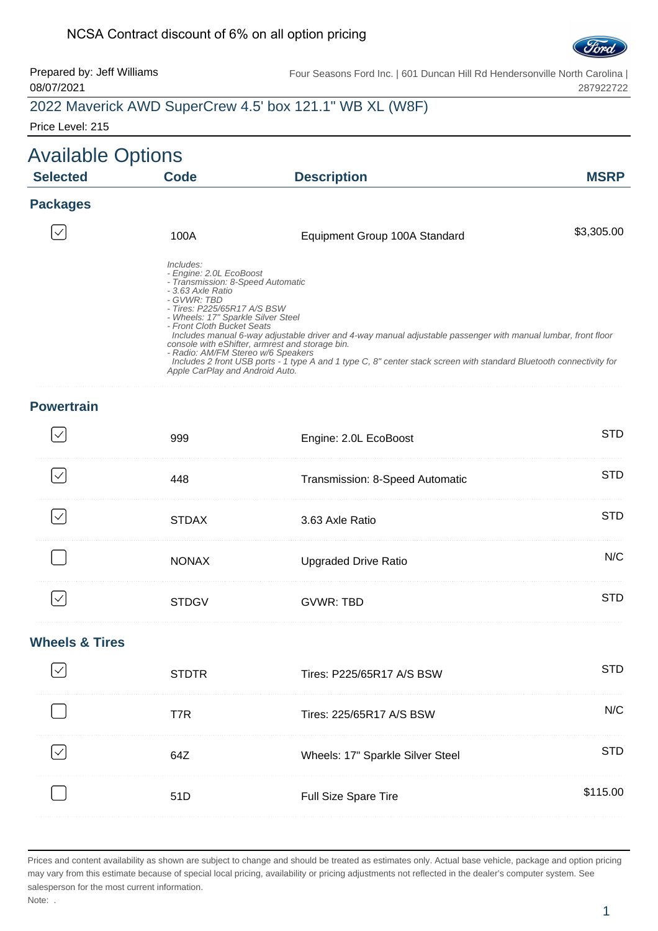#### NCSA Contract discount of 6% on all option pricing



Prepared by: Jeff Williams 08/07/2021 Four Seasons Ford Inc. | 601 Duncan Hill Rd Hendersonville North Carolina | 287922722

#### 2022 Maverick AWD SuperCrew 4.5' box 121.1" WB XL (W8F)

Price Level: 215

#### Available Options **Selected Code Description MSRP Packages**  $\checkmark$ 100A **Equipment Group 100A Standard** \$3,305.00 Includes: - Engine: 2.0L EcoBoost - Transmission: 8-Speed Automatic - 3.63 Axle Ratio - GVWR: TBD - Tires: P225/65R17 A/S BSW - Wheels: 17" Sparkle Silver Steel - Front Cloth Bucket Seats Includes manual 6-way adjustable driver and 4-way manual adjustable passenger with manual lumbar, front floor console with eShifter, armrest and storage bin. - Radio: AM/FM Stereo w/6 Speakers Includes 2 front USB ports - 1 type A and 1 type C, 8" center stack screen with standard Bluetooth connectivity for Apple CarPlay and Android Auto.

#### **Powertrain**

| 999          | Engine: 2.0L EcoBoost           | TD  |
|--------------|---------------------------------|-----|
| 448          | Transmission: 8-Speed Automatic | :TD |
| <b>STDAX</b> | 3.63 Axle Ratio                 | :TD |
| <b>NONAX</b> | <b>Upgraded Drive Ratio</b>     | N/C |
| DG)          | <b>GVWR: TBD</b>                |     |

#### **Wheels & Tires**

| <b>STDTR</b> | Tires: P225/65R17 A/S BSW        |       |
|--------------|----------------------------------|-------|
| T7R          | Tires: 225/65R17 A/S BSW         |       |
| 647          | Wheels: 17" Sparkle Silver Steel |       |
| .51D         | <b>Full Size Spare Tire</b>      | 15 00 |
|              |                                  |       |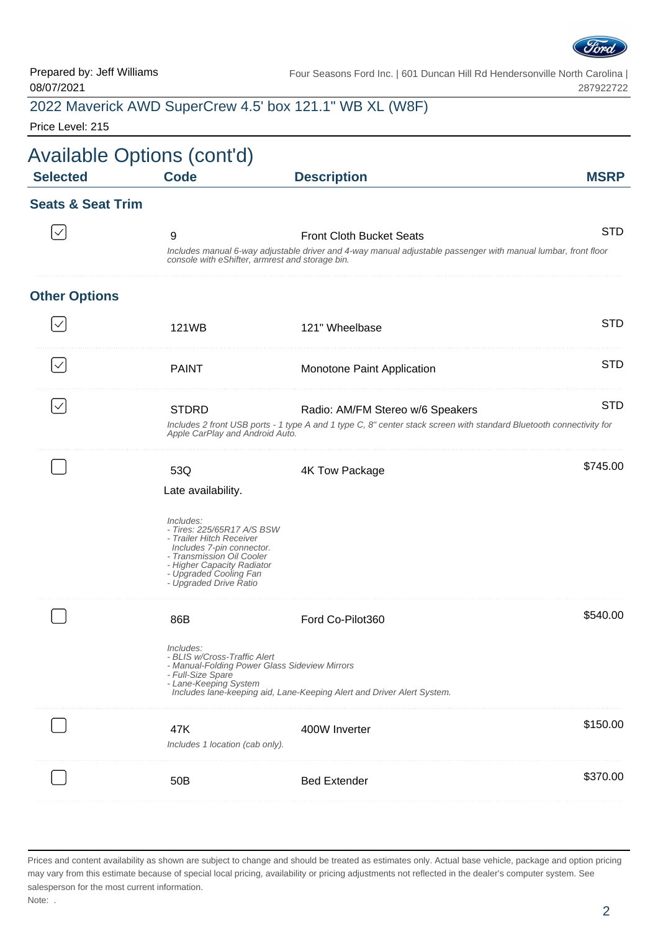

Prepared by: Jeff Williams 08/07/2021

Four Seasons Ford Inc. | 601 Duncan Hill Rd Hendersonville North Carolina | 287922722

## 2022 Maverick AWD SuperCrew 4.5' box 121.1" WB XL (W8F)

Price Level: 215

| <b>Selected</b>              | <b>Code</b>                                                                                                                                                                                                                                                                | <b>Description</b>                                                                                                                               | <b>MSRP</b> |
|------------------------------|----------------------------------------------------------------------------------------------------------------------------------------------------------------------------------------------------------------------------------------------------------------------------|--------------------------------------------------------------------------------------------------------------------------------------------------|-------------|
| <b>Seats &amp; Seat Trim</b> |                                                                                                                                                                                                                                                                            |                                                                                                                                                  |             |
|                              | 9<br>console with eShifter, armrest and storage bin.                                                                                                                                                                                                                       | <b>Front Cloth Bucket Seats</b><br>Includes manual 6-way adjustable driver and 4-way manual adjustable passenger with manual lumbar, front floor | <b>STD</b>  |
| <b>Other Options</b>         |                                                                                                                                                                                                                                                                            |                                                                                                                                                  |             |
|                              | 121WB                                                                                                                                                                                                                                                                      | 121" Wheelbase                                                                                                                                   | <b>STD</b>  |
| $\checkmark$                 | <b>PAINT</b>                                                                                                                                                                                                                                                               | Monotone Paint Application                                                                                                                       | <b>STD</b>  |
|                              | <b>STD</b><br><b>STDRD</b><br>Radio: AM/FM Stereo w/6 Speakers<br>Includes 2 front USB ports - 1 type A and 1 type C, 8" center stack screen with standard Bluetooth connectivity for<br>Apple CarPlay and Android Auto.                                                   |                                                                                                                                                  |             |
|                              | \$745.00<br>53Q<br>4K Tow Package<br>Late availability.<br>Includes:<br>- Tires: 225/65R17 A/S BSW<br>- Trailer Hitch Receiver<br>Includes 7-pin connector.<br>- Transmission Oil Cooler<br>- Higher Capacity Radiator<br>- Upgraded Cooling Fan<br>- Upgraded Drive Ratio |                                                                                                                                                  |             |
|                              | 86B<br>Includes:<br>- BLIS w/Cross-Traffic Alert<br>- Manual-Folding Power Glass Sideview Mirrors<br>- Full-Size Spare<br>- Lane-Keeping System                                                                                                                            | Ford Co-Pilot360<br>Includes lane-keeping aid, Lane-Keeping Alert and Driver Alert System.                                                       | \$540.00    |
|                              | 47K<br>Includes 1 location (cab only).                                                                                                                                                                                                                                     | 400W Inverter                                                                                                                                    | \$150.00    |
|                              | 50B                                                                                                                                                                                                                                                                        | <b>Bed Extender</b>                                                                                                                              | \$370.00    |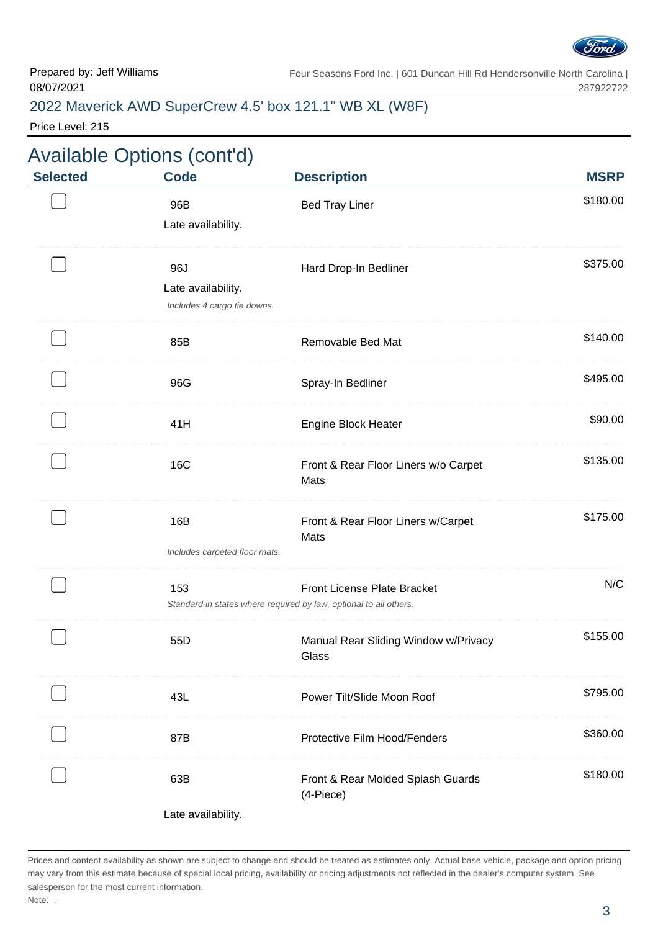

Four Seasons Ford Inc. | 601 Duncan Hill Rd Hendersonville North Carolina | 287922722

### 2022 Maverick AWD SuperCrew 4.5' box 121.1" WB XL (W8F)

Price Level: 215

|                 | <b>Available Options (cont'd)</b>                        |                                                                                                  |                         |
|-----------------|----------------------------------------------------------|--------------------------------------------------------------------------------------------------|-------------------------|
| <b>Selected</b> | <b>Code</b><br>96B<br>Late availability.                 | <b>Description</b><br><b>Bed Tray Liner</b>                                                      | <b>MSRP</b><br>\$180.00 |
|                 | 96J<br>Late availability.<br>Includes 4 cargo tie downs. | Hard Drop-In Bedliner                                                                            | \$375.00                |
|                 | 85B                                                      | Removable Bed Mat                                                                                | \$140.00                |
|                 | 96G                                                      | Spray-In Bedliner                                                                                | \$495.00                |
|                 | 41H                                                      | <b>Engine Block Heater</b>                                                                       | \$90.00                 |
|                 | 16C                                                      | Front & Rear Floor Liners w/o Carpet<br>Mats                                                     | \$135.00                |
|                 | 16B<br>Includes carpeted floor mats.                     | Front & Rear Floor Liners w/Carpet<br>Mats                                                       | \$175.00                |
|                 | 153                                                      | Front License Plate Bracket<br>Standard in states where required by law, optional to all others. | N/C                     |
|                 | 55D                                                      | Manual Rear Sliding Window w/Privacy<br>Glass                                                    | \$155.00                |
|                 | 43L                                                      | Power Tilt/Slide Moon Roof                                                                       | \$795.00                |
|                 | 87B                                                      | Protective Film Hood/Fenders                                                                     | \$360.00                |
|                 | 63B<br>Late availability.                                | Front & Rear Molded Splash Guards<br>(4-Piece)                                                   | \$180.00                |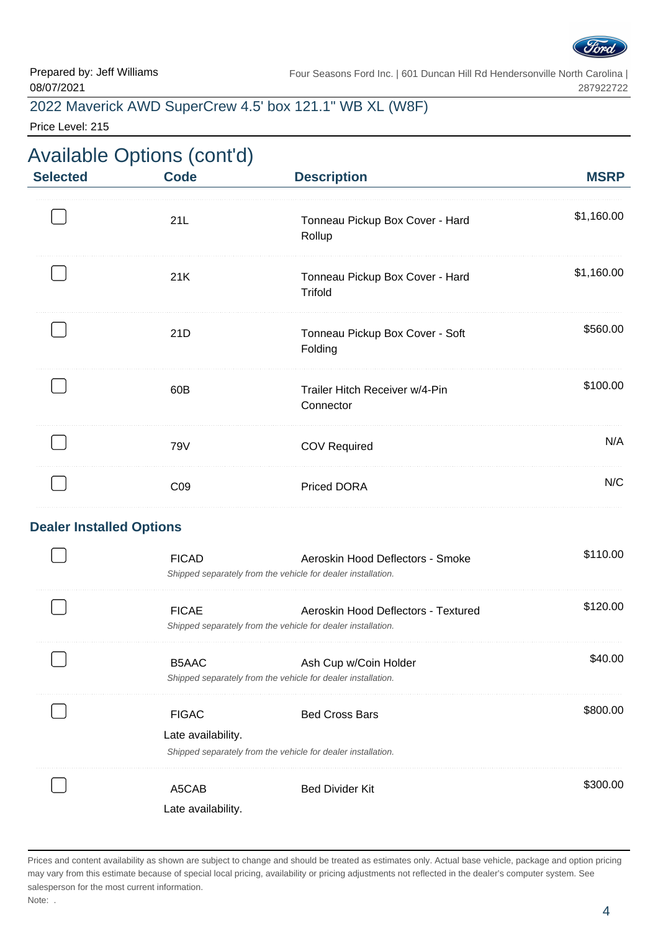

Four Seasons Ford Inc. | 601 Duncan Hill Rd Hendersonville North Carolina | 287922722

#### 2022 Maverick AWD SuperCrew 4.5' box 121.1" WB XL (W8F)

Price Level: 215

# Available Options (cont'd)

| <b>Selected</b>                 | <b>Code</b>                        | <b>Description</b>                                                                                  | <b>MSRP</b> |
|---------------------------------|------------------------------------|-----------------------------------------------------------------------------------------------------|-------------|
|                                 | 21L                                | Tonneau Pickup Box Cover - Hard<br>Rollup                                                           | \$1,160.00  |
|                                 | 21K                                | Tonneau Pickup Box Cover - Hard<br>Trifold                                                          | \$1,160.00  |
|                                 | 21D                                | Tonneau Pickup Box Cover - Soft<br>Folding                                                          | \$560.00    |
|                                 | 60B                                | Trailer Hitch Receiver w/4-Pin<br>Connector                                                         | \$100.00    |
|                                 | 79V                                | <b>COV Required</b>                                                                                 | N/A         |
|                                 | C <sub>09</sub>                    | <b>Priced DORA</b>                                                                                  | N/C         |
| <b>Dealer Installed Options</b> |                                    |                                                                                                     |             |
|                                 | <b>FICAD</b>                       | Aeroskin Hood Deflectors - Smoke<br>Shipped separately from the vehicle for dealer installation.    | \$110.00    |
|                                 | <b>FICAE</b>                       | Aeroskin Hood Deflectors - Textured<br>Shipped separately from the vehicle for dealer installation. | \$120.00    |
|                                 | B5AAC                              | Ash Cup w/Coin Holder<br>Shipped separately from the vehicle for dealer installation.               | \$40.00     |
|                                 | <b>FIGAC</b><br>Late availability. | <b>Bed Cross Bars</b><br>Shipped separately from the vehicle for dealer installation.               | \$800.00    |
|                                 | A5CAB<br>Late availability.        | <b>Bed Divider Kit</b>                                                                              | \$300.00    |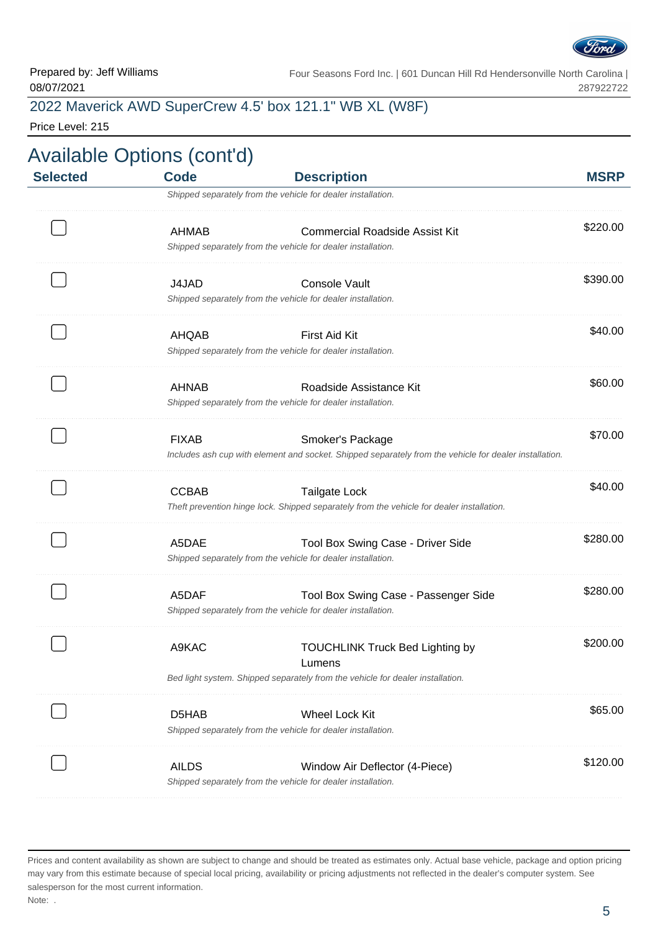

Prepared by: Jeff Williams 08/07/2021

Four Seasons Ford Inc. | 601 Duncan Hill Rd Hendersonville North Carolina | 287922722

### 2022 Maverick AWD SuperCrew 4.5' box 121.1" WB XL (W8F)

Price Level: 215

| <b>Selected</b> | <b>Code</b>  | <b>Description</b>                                                                                                         | <b>MSRP</b> |
|-----------------|--------------|----------------------------------------------------------------------------------------------------------------------------|-------------|
|                 |              | Shipped separately from the vehicle for dealer installation.                                                               |             |
|                 | AHMAB        | <b>Commercial Roadside Assist Kit</b><br>Shipped separately from the vehicle for dealer installation.                      | \$220.00    |
|                 |              |                                                                                                                            |             |
|                 | J4JAD        | Console Vault<br>Shipped separately from the vehicle for dealer installation.                                              | \$390.00    |
|                 | AHQAB        | First Aid Kit                                                                                                              | \$40.00     |
|                 |              | Shipped separately from the vehicle for dealer installation.                                                               |             |
|                 | <b>AHNAB</b> | Roadside Assistance Kit<br>Shipped separately from the vehicle for dealer installation.                                    | \$60.00     |
|                 |              |                                                                                                                            |             |
|                 | <b>FIXAB</b> | Smoker's Package<br>Includes ash cup with element and socket. Shipped separately from the vehicle for dealer installation. | \$70.00     |
|                 | <b>CCBAB</b> | <b>Tailgate Lock</b>                                                                                                       | \$40.00     |
|                 |              | Theft prevention hinge lock. Shipped separately from the vehicle for dealer installation.                                  |             |
|                 | A5DAE        | Tool Box Swing Case - Driver Side<br>Shipped separately from the vehicle for dealer installation.                          | \$280.00    |
|                 | A5DAF        | Tool Box Swing Case - Passenger Side<br>Shipped separately from the vehicle for dealer installation.                       | \$280.00    |
|                 | A9KAC        | <b>TOUCHLINK Truck Bed Lighting by</b><br>Lumens                                                                           | \$200.00    |
|                 |              | Bed light system. Shipped separately from the vehicle for dealer installation.                                             |             |
|                 | D5HAB        | <b>Wheel Lock Kit</b>                                                                                                      | \$65.00     |
|                 |              | Shipped separately from the vehicle for dealer installation.                                                               |             |
|                 | <b>AILDS</b> | Window Air Deflector (4-Piece)                                                                                             | \$120.00    |